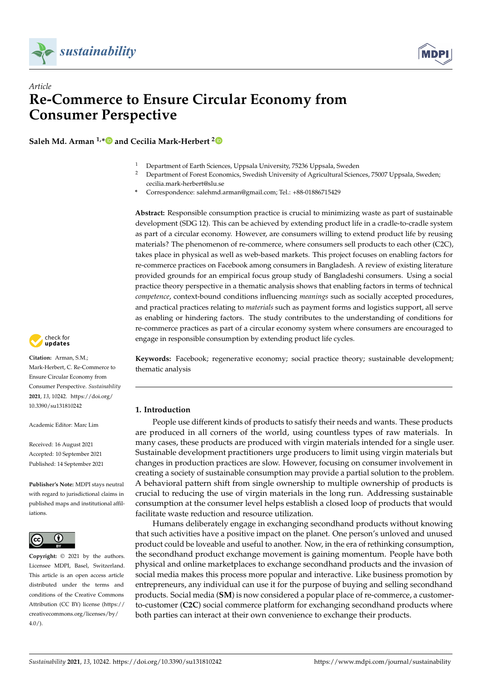



# *Article* **Re-Commerce to Ensure Circular Economy from Consumer Perspective**

**Saleh Md. Arman 1,[\\*](https://orcid.org/0000-0002-8970-7963) and Cecilia Mark-Herbert [2](https://orcid.org/0000-0001-7440-9106)**

- <sup>1</sup> Department of Earth Sciences, Uppsala University, 75236 Uppsala, Sweden<br><sup>2</sup> Department of Earth Economics, Syvediab University of Agricultural Scien
- <sup>2</sup> Department of Forest Economics, Swedish University of Agricultural Sciences, 75007 Uppsala, Sweden; cecilia.mark-herbert@slu.se
- **\*** Correspondence: salehmd.arman@gmail.com; Tel.: +88-01886715429

**Abstract:** Responsible consumption practice is crucial to minimizing waste as part of sustainable development (SDG 12). This can be achieved by extending product life in a cradle-to-cradle system as part of a circular economy. However, are consumers willing to extend product life by reusing materials? The phenomenon of re-commerce, where consumers sell products to each other (C2C), takes place in physical as well as web-based markets. This project focuses on enabling factors for re-commerce practices on Facebook among consumers in Bangladesh. A review of existing literature provided grounds for an empirical focus group study of Bangladeshi consumers. Using a social practice theory perspective in a thematic analysis shows that enabling factors in terms of technical *competence*, context-bound conditions influencing *meanings* such as socially accepted procedures, and practical practices relating to *materials* such as payment forms and logistics support, all serve as enabling or hindering factors. The study contributes to the understanding of conditions for re-commerce practices as part of a circular economy system where consumers are encouraged to engage in responsible consumption by extending product life cycles.



**Citation:** Arman, S.M.; Mark-Herbert, C. Re-Commerce to Ensure Circular Economy from Consumer Perspective. *Sustainability* **2021**, *13*, 10242. [https://doi.org/](https://doi.org/10.3390/su131810242) [10.3390/su131810242](https://doi.org/10.3390/su131810242)

Academic Editor: Marc Lim

Received: 16 August 2021 Accepted: 10 September 2021 Published: 14 September 2021

**Publisher's Note:** MDPI stays neutral with regard to jurisdictional claims in published maps and institutional affiliations.



**Copyright:** © 2021 by the authors. Licensee MDPI, Basel, Switzerland. This article is an open access article distributed under the terms and conditions of the Creative Commons Attribution (CC BY) license (https:/[/](https://creativecommons.org/licenses/by/4.0/) [creativecommons.org/licenses/by/](https://creativecommons.org/licenses/by/4.0/)  $4.0/$ ).

**Keywords:** Facebook; regenerative economy; social practice theory; sustainable development; thematic analysis

# **1. Introduction**

People use different kinds of products to satisfy their needs and wants. These products are produced in all corners of the world, using countless types of raw materials. In many cases, these products are produced with virgin materials intended for a single user. Sustainable development practitioners urge producers to limit using virgin materials but changes in production practices are slow. However, focusing on consumer involvement in creating a society of sustainable consumption may provide a partial solution to the problem. A behavioral pattern shift from single ownership to multiple ownership of products is crucial to reducing the use of virgin materials in the long run. Addressing sustainable consumption at the consumer level helps establish a closed loop of products that would facilitate waste reduction and resource utilization.

Humans deliberately engage in exchanging secondhand products without knowing that such activities have a positive impact on the planet. One person's unloved and unused product could be loveable and useful to another. Now, in the era of rethinking consumption, the secondhand product exchange movement is gaining momentum. People have both physical and online marketplaces to exchange secondhand products and the invasion of social media makes this process more popular and interactive. Like business promotion by entrepreneurs, any individual can use it for the purpose of buying and selling secondhand products. Social media (**SM**) is now considered a popular place of re-commerce, a customerto-customer (**C2C**) social commerce platform for exchanging secondhand products where both parties can interact at their own convenience to exchange their products.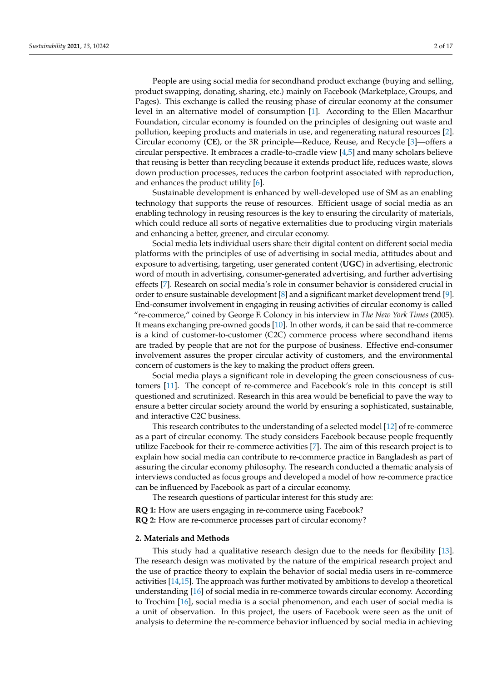People are using social media for secondhand product exchange (buying and selling, product swapping, donating, sharing, etc.) mainly on Facebook (Marketplace, Groups, and Pages). This exchange is called the reusing phase of circular economy at the consumer level in an alternative model of consumption [\[1\]](#page-14-0). According to the Ellen Macarthur Foundation, circular economy is founded on the principles of designing out waste and pollution, keeping products and materials in use, and regenerating natural resources [\[2\]](#page-14-1). Circular economy (**CE**), or the 3R principle—Reduce, Reuse, and Recycle [\[3\]](#page-14-2)—offers a circular perspective. It embraces a cradle-to-cradle view [\[4,](#page-14-3)[5\]](#page-14-4) and many scholars believe that reusing is better than recycling because it extends product life, reduces waste, slows down production processes, reduces the carbon footprint associated with reproduction, and enhances the product utility [\[6\]](#page-14-5).

Sustainable development is enhanced by well-developed use of SM as an enabling technology that supports the reuse of resources. Efficient usage of social media as an enabling technology in reusing resources is the key to ensuring the circularity of materials, which could reduce all sorts of negative externalities due to producing virgin materials and enhancing a better, greener, and circular economy.

Social media lets individual users share their digital content on different social media platforms with the principles of use of advertising in social media, attitudes about and exposure to advertising, targeting, user generated content (**UGC**) in advertising, electronic word of mouth in advertising, consumer-generated advertising, and further advertising effects [\[7\]](#page-14-6). Research on social media's role in consumer behavior is considered crucial in order to ensure sustainable development [\[8\]](#page-14-7) and a significant market development trend [\[9\]](#page-14-8). End-consumer involvement in engaging in reusing activities of circular economy is called "re-commerce," coined by George F. Coloncy in his interview in *The New York Times* (2005). It means exchanging pre-owned goods [\[10\]](#page-14-9). In other words, it can be said that re-commerce is a kind of customer-to-customer (C2C) commerce process where secondhand items are traded by people that are not for the purpose of business. Effective end-consumer involvement assures the proper circular activity of customers, and the environmental concern of customers is the key to making the product offers green.

Social media plays a significant role in developing the green consciousness of customers [\[11\]](#page-14-10). The concept of re-commerce and Facebook's role in this concept is still questioned and scrutinized. Research in this area would be beneficial to pave the way to ensure a better circular society around the world by ensuring a sophisticated, sustainable, and interactive C2C business.

This research contributes to the understanding of a selected model [\[12\]](#page-14-11) of re-commerce as a part of circular economy. The study considers Facebook because people frequently utilize Facebook for their re-commerce activities [\[7\]](#page-14-6). The aim of this research project is to explain how social media can contribute to re-commerce practice in Bangladesh as part of assuring the circular economy philosophy. The research conducted a thematic analysis of interviews conducted as focus groups and developed a model of how re-commerce practice can be influenced by Facebook as part of a circular economy.

The research questions of particular interest for this study are:

**RQ 1:** How are users engaging in re-commerce using Facebook? **RQ 2:** How are re-commerce processes part of circular economy?

### **2. Materials and Methods**

This study had a qualitative research design due to the needs for flexibility [\[13\]](#page-14-12). The research design was motivated by the nature of the empirical research project and the use of practice theory to explain the behavior of social media users in re-commerce activities [\[14](#page-14-13)[,15\]](#page-14-14). The approach was further motivated by ambitions to develop a theoretical understanding [\[16\]](#page-14-15) of social media in re-commerce towards circular economy. According to Trochim [\[16\]](#page-14-15), social media is a social phenomenon, and each user of social media is a unit of observation. In this project, the users of Facebook were seen as the unit of analysis to determine the re-commerce behavior influenced by social media in achieving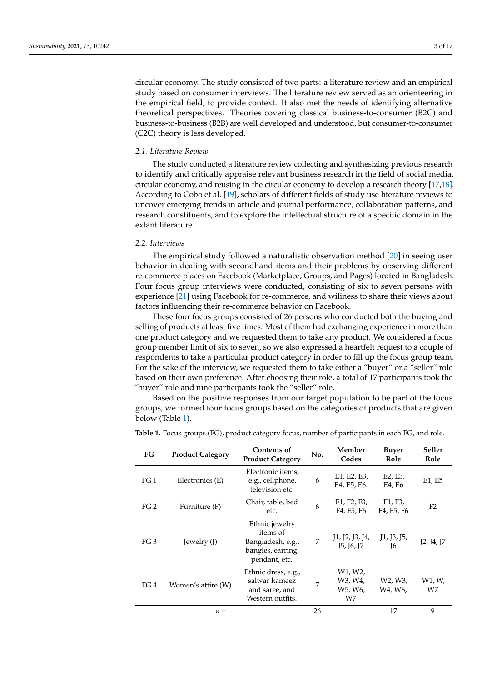circular economy. The study consisted of two parts: a literature review and an empirical study based on consumer interviews. The literature review served as an orienteering in the empirical field, to provide context. It also met the needs of identifying alternative theoretical perspectives. Theories covering classical business-to-consumer (B2C) and business-to-business (B2B) are well developed and understood, but consumer-to-consumer (C2C) theory is less developed.

# *2.1. Literature Review*

The study conducted a literature review collecting and synthesizing previous research to identify and critically appraise relevant business research in the field of social media, circular economy, and reusing in the circular economy to develop a research theory [\[17](#page-14-16)[,18\]](#page-14-17). According to Cobo et al. [\[19\]](#page-14-18), scholars of different fields of study use literature reviews to uncover emerging trends in article and journal performance, collaboration patterns, and research constituents, and to explore the intellectual structure of a specific domain in the extant literature.

### *2.2. Interviews*

The empirical study followed a naturalistic observation method [\[20\]](#page-14-19) in seeing user behavior in dealing with secondhand items and their problems by observing different re-commerce places on Facebook (Marketplace, Groups, and Pages) located in Bangladesh. Four focus group interviews were conducted, consisting of six to seven persons with experience [\[21\]](#page-14-20) using Facebook for re-commerce, and wiliness to share their views about factors influencing their re-commerce behavior on Facebook.

These four focus groups consisted of 26 persons who conducted both the buying and selling of products at least five times. Most of them had exchanging experience in more than one product category and we requested them to take any product. We considered a focus group member limit of six to seven, so we also expressed a heartfelt request to a couple of respondents to take a particular product category in order to fill up the focus group team. For the sake of the interview, we requested them to take either a "buyer" or a "seller" role based on their own preference. After choosing their role, a total of 17 participants took the "buyer" role and nine participants took the "seller" role.

Based on the positive responses from our target population to be part of the focus groups, we formed four focus groups based on the categories of products that are given below (Table [1\)](#page-2-0).

| FG              | <b>Product Category</b> | <b>Contents of</b><br><b>Product Category</b>                                         | No. | Member<br>Codes                                                                                        | <b>Buyer</b><br>Role                                                                  | Seller<br>Role |
|-----------------|-------------------------|---------------------------------------------------------------------------------------|-----|--------------------------------------------------------------------------------------------------------|---------------------------------------------------------------------------------------|----------------|
| FG <sub>1</sub> | Electronics (E)         | Electronic items,<br>e.g., cellphone,<br>television etc.                              | 6   | E1, E2, E3,<br>E4, E5, E6.                                                                             | E2, E3,<br>E4, E6                                                                     | E1, E5         |
| FG <sub>2</sub> | Furniture (F)           | Chair, table, bed<br>etc.                                                             | 6   | F <sub>1</sub> , F <sub>2</sub> , F <sub>3</sub> ,<br>F <sub>4</sub> , F <sub>5</sub> , F <sub>6</sub> | F <sub>1</sub> , F <sub>3</sub> ,<br>F <sub>4</sub> , F <sub>5</sub> , F <sub>6</sub> | F <sub>2</sub> |
| FG 3            | Jewelry (J)             | Ethnic jewelry<br>items of<br>Bangladesh, e.g.,<br>bangles, earring,<br>pendant, etc. | 7   | J1, J2, J3, J4,<br><b>15, 16, 17</b>                                                                   | J1, J3, J5,<br>T <sub>6</sub>                                                         | J2, J4, J7     |
| FG 4            | Women's attire (W)      | Ethnic dress, e.g.,<br>salwar kameez<br>and saree, and<br>Western outfits.            | 7   | W1, W2,<br>W3, W4,<br>W5, W6,<br>W7                                                                    | W <sub>2</sub> , W <sub>3</sub> ,<br>W4, W6,                                          | W1, W,<br>W7   |
|                 | $n =$                   |                                                                                       | 26  |                                                                                                        | 17                                                                                    | 9              |

<span id="page-2-0"></span>**Table 1.** Focus groups (FG), product category focus, number of participants in each FG, and role.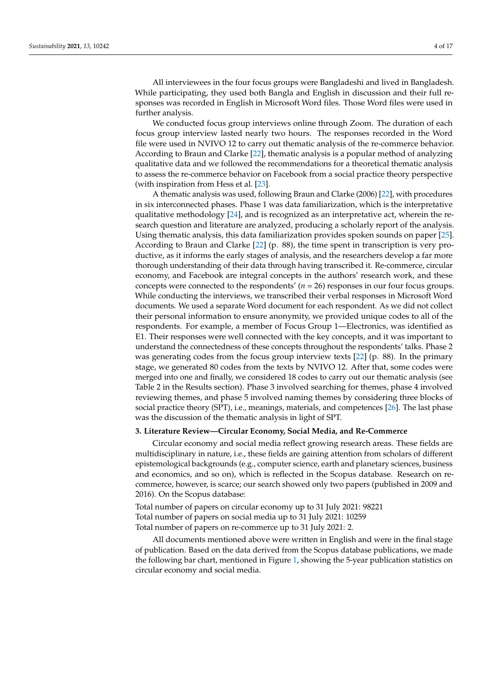All interviewees in the four focus groups were Bangladeshi and lived in Bangladesh. While participating, they used both Bangla and English in discussion and their full responses was recorded in English in Microsoft Word files. Those Word files were used in further analysis.

We conducted focus group interviews online through Zoom. The duration of each focus group interview lasted nearly two hours. The responses recorded in the Word file were used in NVIVO 12 to carry out thematic analysis of the re-commerce behavior. According to Braun and Clarke [\[22\]](#page-14-21), thematic analysis is a popular method of analyzing qualitative data and we followed the recommendations for a theoretical thematic analysis to assess the re-commerce behavior on Facebook from a social practice theory perspective (with inspiration from Hess et al. [\[23\]](#page-14-22).

A thematic analysis was used, following Braun and Clarke (2006) [\[22\]](#page-14-21), with procedures in six interconnected phases. Phase 1 was data familiarization, which is the interpretative qualitative methodology [\[24\]](#page-14-23), and is recognized as an interpretative act, wherein the research question and literature are analyzed, producing a scholarly report of the analysis. Using thematic analysis, this data familiarization provides spoken sounds on paper [\[25\]](#page-14-24). According to Braun and Clarke [\[22\]](#page-14-21) (p. 88), the time spent in transcription is very productive, as it informs the early stages of analysis, and the researchers develop a far more thorough understanding of their data through having transcribed it. Re-commerce, circular economy, and Facebook are integral concepts in the authors' research work, and these concepts were connected to the respondents' (*n* = 26) responses in our four focus groups. While conducting the interviews, we transcribed their verbal responses in Microsoft Word documents. We used a separate Word document for each respondent. As we did not collect their personal information to ensure anonymity, we provided unique codes to all of the respondents. For example, a member of Focus Group 1—Electronics, was identified as E1. Their responses were well connected with the key concepts, and it was important to understand the connectedness of these concepts throughout the respondents' talks. Phase 2 was generating codes from the focus group interview texts [\[22\]](#page-14-21) (p. 88). In the primary stage, we generated 80 codes from the texts by NVIVO 12. After that, some codes were merged into one and finally, we considered 18 codes to carry out our thematic analysis (see Table 2 in the Results section). Phase 3 involved searching for themes, phase 4 involved reviewing themes, and phase 5 involved naming themes by considering three blocks of social practice theory (SPT), i.e., meanings, materials, and competences [\[26\]](#page-14-25). The last phase was the discussion of the thematic analysis in light of SPT.

# **3. Literature Review—Circular Economy, Social Media, and Re-Commerce**

Circular economy and social media reflect growing research areas. These fields are multidisciplinary in nature, i.e., these fields are gaining attention from scholars of different epistemological backgrounds (e.g., computer science, earth and planetary sciences, business and economics, and so on), which is reflected in the Scopus database. Research on recommerce, however, is scarce; our search showed only two papers (published in 2009 and 2016). On the Scopus database:

Total number of papers on circular economy up to 31 July 2021: 98221 Total number of papers on social media up to 31 July 2021: 10259 Total number of papers on re-commerce up to 31 July 2021: 2.

All documents mentioned above were written in English and were in the final stage of publication. Based on the data derived from the Scopus database publications, we made the following bar chart, mentioned in Figure [1,](#page-4-0) showing the 5-year publication statistics on circular economy and social media.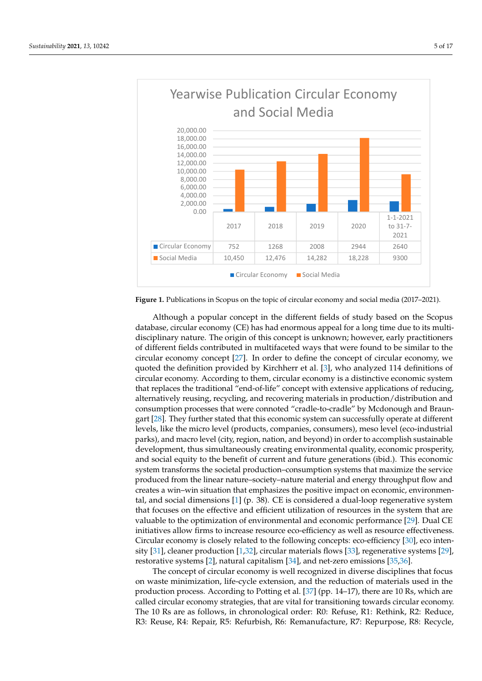<span id="page-4-0"></span>

**Figure 1.** Publications in Scopus on the topic of circular economy and social media (2017–2021). **Figure 1.** Publications in Scopus on the topic of circular economy and social media (2017–2021).

Although a popular concept in the different fields of study based on the Scopus tabase, circular economy (CE) has had enormous appeal for a long time due to its multi-database, circular economy (CE) has had enormous appeal for a long time due to its multidisciplinary nature. The origin of this concept is unknown; however, early practitioners disciplinary nature. The origin of this concept is unknown; however, early practitioners of different fields contributed in multifaceted ways that were found to be similar to the of different fields contributed in multifaceted ways that were found to be similar to the circular economy concept [27]. In order to define the concept of circular economy, we circular economy concept [\[27\]](#page-14-26). In order to define the concept of circular economy, we quoted the definition provided by Kirchherr et al. [3], who analyzed 114 definitions of quoted the definition provided by Kirchherr et al. [\[3\]](#page-14-2), who analyzed 114 definitions of circular economy. According to them, circular economy is a distinctive economic system circular economy. According to them, circular economy is a distinctive economic system that replaces the traditional "end-of-life" concept with extensive applications of reducing, that replaces the traditional "end-of-life" concept with extensive applications of reducing, alternatively reusing, recycling, and recovering materials in production/distribution and alternatively reusing, recycling, and recovering materials in production/distribution and consumption processes that were connoted "cradle-to-cradle" by Mcdonough and Braun-consumption processes that were connoted "cradle-to-cradle" by Mcdonough and Braun-gart [\[28\]](#page-14-27). They further stated that this economic system can successfully operate at different levels, like the micro level (products, companies, consumers), meso level (eco-industrial parks), and macro level (city, region, nation, and beyond) in order to accomplish sustainable development, thus simultaneously creating environmental quality, economic prosperity, and social equity to the benefit of current and future generations (ibid.). This economic system transforms the societal production–consumption systems that maximize the service produced from the linear nature–society–nature material and energy throughput flow and creates a win–win situation that emphasizes the positive impact on economic, environmen-tal, and social dimensions [\[1\]](#page-14-0) (p. 38). CE is considered a dual-loop regenerative system  $\mathcal{L}$ that focuses on the effective and efficient utilization of resources in the system that are valuable to the optimization of environmental and economic performance [\[29\]](#page-14-28). Dual CE values of the optimization of environmental and economic performance [29]. Dual CE initiatives allow firms to increase resource eco-efficiency as well as resource effectiveness.<br>City and the late of the contract of the contract of the contract of the contract of the contract of the contract of the contra Circular economy is closely related to the following concepts: eco-efficiency [\[30\]](#page-14-29), eco inten-<br>City [31], els uses are desting [1.22], simular materials flame [32], as a section and pre-tage [30] restorative systems [\[2\]](#page-14-1), natural capitalism [\[34\]](#page-15-3), and net-zero emissions [\[35,](#page-15-4)[36\]](#page-15-5). sity [\[31\]](#page-15-0), cleaner production [\[1](#page-14-0)[,32\]](#page-15-1), circular materials flows [\[33\]](#page-15-2), regenerative systems [\[29\]](#page-14-28),

The concept of circular economy is well recognized in diverse disciplines that focus [35,36]. on waste minimization, life-cycle extension, and the reduction of materials used in the production process. According to Potting et al. [\[37\]](#page-15-6) (pp. 14–17), there are 10 Rs, which are production, processer recording to a bunity of an [07] (pp. 21.2.17), and the reduction of materials called circular economy strategies, that are vital for transitioning towards circular economy. meen correlating to entirely ethniquely than the contracted antisometring commute determine correlating.<br>The 10 Rs are as follows, in chronological order: R0: Refuse, R1: Rethink, R2: Reduce, called circular economy strategies, that are vital for the circular formulation of the circular circular economy strategies, that are vital for the circular economy of the circular economy of the circular economy of the ci R3: Reuse, R4: Repair, R5: Refurbish, R6: Remanufacture, R7: Repurpose, R8: Recycle,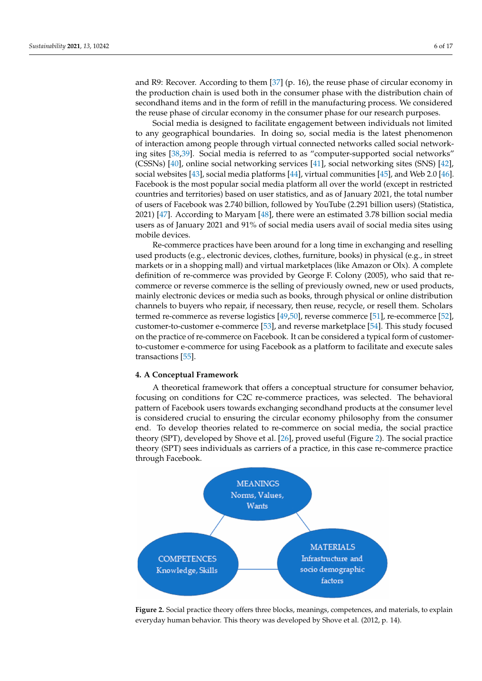and R9: Recover. According to them [\[37\]](#page-15-6) (p. 16), the reuse phase of circular economy in the production chain is used both in the consumer phase with the distribution chain of secondhand items and in the form of refill in the manufacturing process. We considered the reuse phase of circular economy in the consumer phase for our research purposes.

Social media is designed to facilitate engagement between individuals not limited to any geographical boundaries. In doing so, social media is the latest phenomenon of interaction among people through virtual connected networks called social networking sites [\[38](#page-15-7)[,39\]](#page-15-8). Social media is referred to as "computer-supported social networks" (CSSNs) [\[40\]](#page-15-9), online social networking services [\[41\]](#page-15-10), social networking sites (SNS) [\[42\]](#page-15-11), social websites [\[43\]](#page-15-12), social media platforms [\[44\]](#page-15-13), virtual communities [\[45\]](#page-15-14), and Web 2.0 [\[46\]](#page-15-15). Facebook is the most popular social media platform all over the world (except in restricted countries and territories) based on user statistics, and as of January 2021, the total number of users of Facebook was 2.740 billion, followed by YouTube (2.291 billion users) (Statistica, 2021) [\[47\]](#page-15-16). According to Maryam [\[48\]](#page-15-17), there were an estimated 3.78 billion social media users as of January 2021 and 91% of social media users avail of social media sites using mobile devices.

Re-commerce practices have been around for a long time in exchanging and reselling used products (e.g., electronic devices, clothes, furniture, books) in physical (e.g., in street markets or in a shopping mall) and virtual marketplaces (like Amazon or Olx). A complete definition of re-commerce was provided by George F. Colony (2005), who said that recommerce or reverse commerce is the selling of previously owned, new or used products, mainly electronic devices or media such as books, through physical or online distribution channels to buyers who repair, if necessary, then reuse, recycle, or resell them. Scholars termed re-commerce as reverse logistics [\[49,](#page-15-18)[50\]](#page-15-19), reverse commerce [\[51\]](#page-15-20), re-ecommerce [\[52\]](#page-15-21), customer-to-customer e-commerce [\[53\]](#page-15-22), and reverse marketplace [\[54\]](#page-15-23). This study focused on the practice of re-commerce on Facebook. It can be considered a typical form of customerto-customer e-commerce for using Facebook as a platform to facilitate and execute sales transactions [\[55\]](#page-15-24).

### **4. A Conceptual Framework**

A theoretical framework that offers a conceptual structure for consumer behavior, focusing on conditions for C2C re-commerce practices, was selected. The behavioral pattern of Facebook users towards exchanging secondhand products at the consumer level is considered crucial to ensuring the circular economy philosophy from the consumer end. To develop theories related to re-commerce on social media, the social practice theory (SPT), developed by Shove et al. [\[26\]](#page-14-25), proved useful (Figure [2\)](#page-5-0). The social practice theory (SPT) sees individuals as carriers of a practice, in this case re-commerce practice through Facebook.

<span id="page-5-0"></span>

Figure 2. Social practice theory offers three blocks, meanings, competences, and materials, to explain plain everyday human behavior. This theory was developed by Shove et al. (2012, p. 14). everyday human behavior. This theory was developed by Shove et al. (2012, p. 14).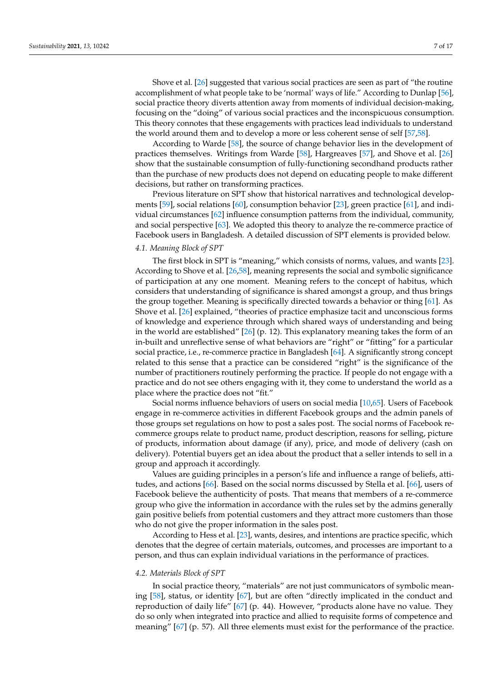Shove et al. [\[26\]](#page-14-25) suggested that various social practices are seen as part of "the routine accomplishment of what people take to be 'normal' ways of life." According to Dunlap [\[56\]](#page-15-25), social practice theory diverts attention away from moments of individual decision-making, focusing on the "doing" of various social practices and the inconspicuous consumption. This theory connotes that these engagements with practices lead individuals to understand the world around them and to develop a more or less coherent sense of self [\[57,](#page-15-26)[58\]](#page-15-27).

According to Warde [\[58\]](#page-15-27), the source of change behavior lies in the development of practices themselves. Writings from Warde [\[58\]](#page-15-27), Hargreaves [\[57\]](#page-15-26), and Shove et al. [\[26\]](#page-14-25) show that the sustainable consumption of fully-functioning secondhand products rather than the purchase of new products does not depend on educating people to make different decisions, but rather on transforming practices.

Previous literature on SPT show that historical narratives and technological developments [\[59\]](#page-15-28), social relations [\[60\]](#page-15-29), consumption behavior [\[23\]](#page-14-22), green practice [\[61\]](#page-16-0), and individual circumstances [\[62\]](#page-16-1) influence consumption patterns from the individual, community, and social perspective [\[63\]](#page-16-2). We adopted this theory to analyze the re-commerce practice of Facebook users in Bangladesh. A detailed discussion of SPT elements is provided below.

### *4.1. Meaning Block of SPT*

The first block in SPT is "meaning," which consists of norms, values, and wants [\[23\]](#page-14-22). According to Shove et al. [\[26,](#page-14-25)[58\]](#page-15-27), meaning represents the social and symbolic significance of participation at any one moment. Meaning refers to the concept of habitus, which considers that understanding of significance is shared amongst a group, and thus brings the group together. Meaning is specifically directed towards a behavior or thing [\[61\]](#page-16-0). As Shove et al. [\[26\]](#page-14-25) explained, "theories of practice emphasize tacit and unconscious forms of knowledge and experience through which shared ways of understanding and being in the world are established" [\[26\]](#page-14-25) (p. 12). This explanatory meaning takes the form of an in-built and unreflective sense of what behaviors are "right" or "fitting" for a particular social practice, i.e., re-commerce practice in Bangladesh [\[64\]](#page-16-3). A significantly strong concept related to this sense that a practice can be considered "right" is the significance of the number of practitioners routinely performing the practice. If people do not engage with a practice and do not see others engaging with it, they come to understand the world as a place where the practice does not "fit."

Social norms influence behaviors of users on social media [\[10](#page-14-9)[,65\]](#page-16-4). Users of Facebook engage in re-commerce activities in different Facebook groups and the admin panels of those groups set regulations on how to post a sales post. The social norms of Facebook recommerce groups relate to product name, product description, reasons for selling, picture of products, information about damage (if any), price, and mode of delivery (cash on delivery). Potential buyers get an idea about the product that a seller intends to sell in a group and approach it accordingly.

Values are guiding principles in a person's life and influence a range of beliefs, attitudes, and actions [\[66\]](#page-16-5). Based on the social norms discussed by Stella et al. [\[66\]](#page-16-5), users of Facebook believe the authenticity of posts. That means that members of a re-commerce group who give the information in accordance with the rules set by the admins generally gain positive beliefs from potential customers and they attract more customers than those who do not give the proper information in the sales post.

According to Hess et al. [\[23\]](#page-14-22), wants, desires, and intentions are practice specific, which denotes that the degree of certain materials, outcomes, and processes are important to a person, and thus can explain individual variations in the performance of practices.

### *4.2. Materials Block of SPT*

In social practice theory, "materials" are not just communicators of symbolic meaning [\[58\]](#page-15-27), status, or identity [\[67\]](#page-16-6), but are often "directly implicated in the conduct and reproduction of daily life" [\[67\]](#page-16-6) (p. 44). However, "products alone have no value. They do so only when integrated into practice and allied to requisite forms of competence and meaning" [\[67\]](#page-16-6) (p. 57). All three elements must exist for the performance of the practice.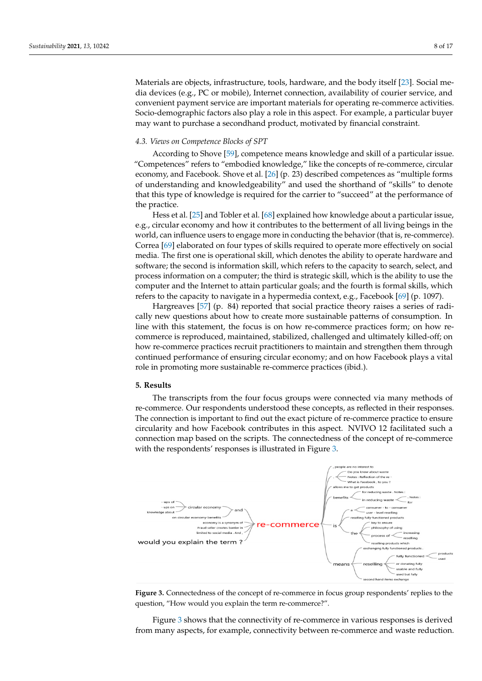Materials are objects, infrastructure, tools, hardware, and the body itself [\[23\]](#page-14-22). Social media devices (e.g., PC or mobile), Internet connection, availability of courier service, and convenient payment service are important materials for operating re-commerce activities. Socio-demographic factors also play a role in this aspect. For example, a particular buyer may want to purchase a secondhand product, motivated by financial constraint.

# *4.3. Views on Competence Blocks of SPT*

According to Shove [\[59\]](#page-15-28), competence means knowledge and skill of a particular issue. "Competences" refers to "embodied knowledge," like the concepts of re-commerce, circular economy, and Facebook. Shove et al. [\[26\]](#page-14-25) (p. 23) described competences as "multiple forms of understanding and knowledgeability" and used the shorthand of "skills" to denote that this type of knowledge is required for the carrier to "succeed" at the performance of the practice.

Hess et al. [\[25\]](#page-14-24) and Tobler et al. [\[68\]](#page-16-7) explained how knowledge about a particular issue, e.g., circular economy and how it contributes to the betterment of all living beings in the world, can influence users to engage more in conducting the behavior (that is, re-commerce). Correa [\[69\]](#page-16-8) elaborated on four types of skills required to operate more effectively on social media. The first one is operational skill, which denotes the ability to operate hardware and software; the second is information skill, which refers to the capacity to search, select, and process information on a computer; the third is strategic skill, which is the ability to use the computer and the Internet to attain particular goals; and the fourth is formal skills, which refers to the capacity to navigate in a hypermedia context, e.g., Facebook [\[69\]](#page-16-8) (p. 1097).

Hargreaves [\[57\]](#page-15-26) (p. 84) reported that social practice theory raises a series of radically new questions about how to create more sustainable patterns of consumption. In line with this statement, the focus is on how re-commerce practices form; on how recommerce is reproduced, maintained, stabilized, challenged and ultimately killed-off; on how re-commerce practices recruit practitioners to maintain and strengthen them through continued performance of ensuring circular economy; and on how Facebook plays a vital role in promoting more sustainable re-commerce practices (ibid.).

# **5. Results 5. Results**

The transcripts from the four focus groups were connected via many methods of re-commerce. Our respondents understood these concepts, as reflected in their responses. commerce. Our respondents understood these concepts, as reflected in their responses. The connection is important to find out the exact picture of re-commerce practice to ensure The connection is important to find out the exact picture of re-commerce practice to ensure circularity and how Facebook contributes in this aspect. NVIVO 12 facilitated such a circularity and how Facebook contributes in this aspect. NVIVO 12 facilitated such a conconnection map based on the scripts. The connectedness of the concept of re-commerce with the respondents' responses is illustrated in Figure [3.](#page-7-0)

<span id="page-7-0"></span>



Figure [3](#page-7-0) shows that the connectivity of re-commerce in various responses is derived Figure 3 shows that the connectivity of re-commerce in various responses is derived from many aspects, for example, connectivity between re-commerce and waste reduction. from many aspects, for example, connectivity between re-commerce and waste reduction.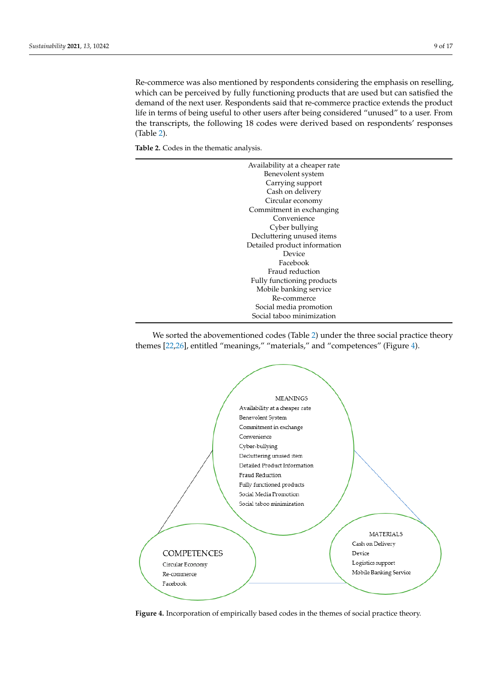Re-commerce was also mentioned by respondents considering the emphasis on reselling, which can be perceived by fully functioning products that are used but can satisfied the demand of the next user. Respondents said that re-commerce practice extends the product life in terms of being useful to other users after being considered "unused" to a user. From the transcripts, the following 18 codes were derived based on respondents' responses (Table [2\)](#page-8-0).

<span id="page-8-0"></span>**Table 2.** Codes in the thematic analysis.

| Availability at a cheaper rate |
|--------------------------------|
| Benevolent system              |
| Carrying support               |
| Cash on delivery               |
| Circular economy               |
| Commitment in exchanging       |
| Convenience                    |
| Cyber bullying                 |
| Decluttering unused items      |
| Detailed product information   |
| Device                         |
| Facebook                       |
| Fraud reduction                |
| Fully functioning products     |
| Mobile banking service         |
| Re-commerce                    |
| Social media promotion         |
| Social taboo minimization      |

We sorted the abovementioned codes (Table 2) under the three social practice theory We sorted the abovementioned codes (Tabl[e 2](#page-8-0)) under the three social practice theory themes [\[22,](#page-14-21)[26\]](#page-14-25), entitled "meanings," "materials," and "competences" (Figure 4). themes [22,26], entitled "meanings," "materials," and "competences" (Figur[e 4](#page-8-1)).

<span id="page-8-1"></span>

**Figure 4.** Incorporation of empirically based codes in the themes of social practice theory. Figure 4. Incorporation of empirically based codes in the themes of social practice theory.<br> **Figure 4.** Incorporation of empirically based codes in the themes of social practice theory.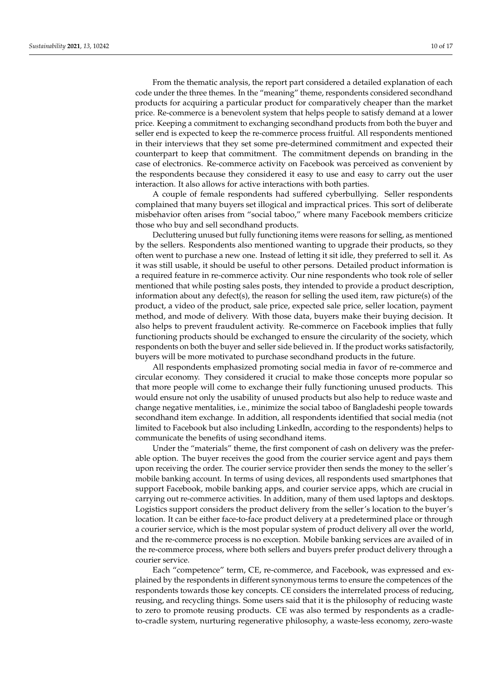From the thematic analysis, the report part considered a detailed explanation of each code under the three themes. In the "meaning" theme, respondents considered secondhand products for acquiring a particular product for comparatively cheaper than the market

price. Re-commerce is a benevolent system that helps people to satisfy demand at a lower price. Keeping a commitment to exchanging secondhand products from both the buyer and seller end is expected to keep the re-commerce process fruitful. All respondents mentioned in their interviews that they set some pre-determined commitment and expected their counterpart to keep that commitment. The commitment depends on branding in the case of electronics. Re-commerce activity on Facebook was perceived as convenient by the respondents because they considered it easy to use and easy to carry out the user interaction. It also allows for active interactions with both parties.

A couple of female respondents had suffered cyberbullying. Seller respondents complained that many buyers set illogical and impractical prices. This sort of deliberate misbehavior often arises from "social taboo," where many Facebook members criticize those who buy and sell secondhand products.

Decluttering unused but fully functioning items were reasons for selling, as mentioned by the sellers. Respondents also mentioned wanting to upgrade their products, so they often went to purchase a new one. Instead of letting it sit idle, they preferred to sell it. As it was still usable, it should be useful to other persons. Detailed product information is a required feature in re-commerce activity. Our nine respondents who took role of seller mentioned that while posting sales posts, they intended to provide a product description, information about any defect(s), the reason for selling the used item, raw picture(s) of the product, a video of the product, sale price, expected sale price, seller location, payment method, and mode of delivery. With those data, buyers make their buying decision. It also helps to prevent fraudulent activity. Re-commerce on Facebook implies that fully functioning products should be exchanged to ensure the circularity of the society, which respondents on both the buyer and seller side believed in. If the product works satisfactorily, buyers will be more motivated to purchase secondhand products in the future.

All respondents emphasized promoting social media in favor of re-commerce and circular economy. They considered it crucial to make those concepts more popular so that more people will come to exchange their fully functioning unused products. This would ensure not only the usability of unused products but also help to reduce waste and change negative mentalities, i.e., minimize the social taboo of Bangladeshi people towards secondhand item exchange. In addition, all respondents identified that social media (not limited to Facebook but also including LinkedIn, according to the respondents) helps to communicate the benefits of using secondhand items.

Under the "materials" theme, the first component of cash on delivery was the preferable option. The buyer receives the good from the courier service agent and pays them upon receiving the order. The courier service provider then sends the money to the seller's mobile banking account. In terms of using devices, all respondents used smartphones that support Facebook, mobile banking apps, and courier service apps, which are crucial in carrying out re-commerce activities. In addition, many of them used laptops and desktops. Logistics support considers the product delivery from the seller's location to the buyer's location. It can be either face-to-face product delivery at a predetermined place or through a courier service, which is the most popular system of product delivery all over the world, and the re-commerce process is no exception. Mobile banking services are availed of in the re-commerce process, where both sellers and buyers prefer product delivery through a courier service.

Each "competence" term, CE, re-commerce, and Facebook, was expressed and explained by the respondents in different synonymous terms to ensure the competences of the respondents towards those key concepts. CE considers the interrelated process of reducing, reusing, and recycling things. Some users said that it is the philosophy of reducing waste to zero to promote reusing products. CE was also termed by respondents as a cradleto-cradle system, nurturing regenerative philosophy, a waste-less economy, zero-waste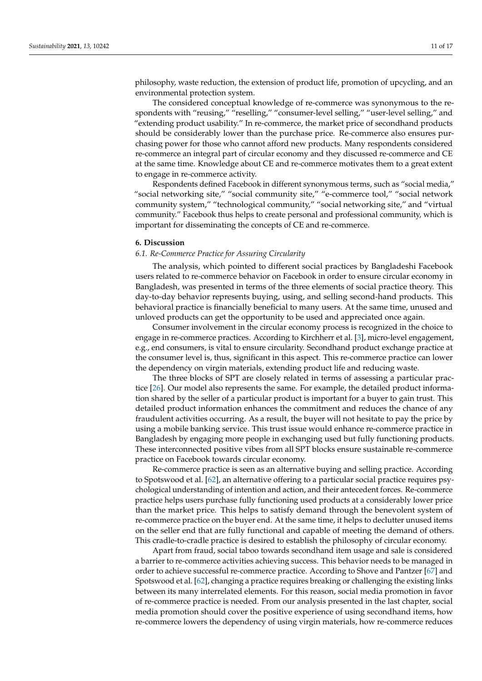philosophy, waste reduction, the extension of product life, promotion of upcycling, and an environmental protection system.

The considered conceptual knowledge of re-commerce was synonymous to the respondents with "reusing," "reselling," "consumer-level selling," "user-level selling," and "extending product usability." In re-commerce, the market price of secondhand products should be considerably lower than the purchase price. Re-commerce also ensures purchasing power for those who cannot afford new products. Many respondents considered re-commerce an integral part of circular economy and they discussed re-commerce and CE at the same time. Knowledge about CE and re-commerce motivates them to a great extent to engage in re-commerce activity.

Respondents defined Facebook in different synonymous terms, such as "social media," "social networking site," "social community site," "e-commerce tool," "social network community system," "technological community," "social networking site," and "virtual community." Facebook thus helps to create personal and professional community, which is important for disseminating the concepts of CE and re-commerce.

# **6. Discussion**

# *6.1. Re-Commerce Practice for Assuring Circularity*

The analysis, which pointed to different social practices by Bangladeshi Facebook users related to re-commerce behavior on Facebook in order to ensure circular economy in Bangladesh, was presented in terms of the three elements of social practice theory. This day-to-day behavior represents buying, using, and selling second-hand products. This behavioral practice is financially beneficial to many users. At the same time, unused and unloved products can get the opportunity to be used and appreciated once again.

Consumer involvement in the circular economy process is recognized in the choice to engage in re-commerce practices. According to Kirchherr et al. [\[3\]](#page-14-2), micro-level engagement, e.g., end consumers, is vital to ensure circularity. Secondhand product exchange practice at the consumer level is, thus, significant in this aspect. This re-commerce practice can lower the dependency on virgin materials, extending product life and reducing waste.

The three blocks of SPT are closely related in terms of assessing a particular practice [\[26\]](#page-14-25). Our model also represents the same. For example, the detailed product information shared by the seller of a particular product is important for a buyer to gain trust. This detailed product information enhances the commitment and reduces the chance of any fraudulent activities occurring. As a result, the buyer will not hesitate to pay the price by using a mobile banking service. This trust issue would enhance re-commerce practice in Bangladesh by engaging more people in exchanging used but fully functioning products. These interconnected positive vibes from all SPT blocks ensure sustainable re-commerce practice on Facebook towards circular economy.

Re-commerce practice is seen as an alternative buying and selling practice. According to Spotswood et al. [\[62\]](#page-16-1), an alternative offering to a particular social practice requires psychological understanding of intention and action, and their antecedent forces. Re-commerce practice helps users purchase fully functioning used products at a considerably lower price than the market price. This helps to satisfy demand through the benevolent system of re-commerce practice on the buyer end. At the same time, it helps to declutter unused items on the seller end that are fully functional and capable of meeting the demand of others. This cradle-to-cradle practice is desired to establish the philosophy of circular economy.

Apart from fraud, social taboo towards secondhand item usage and sale is considered a barrier to re-commerce activities achieving success. This behavior needs to be managed in order to achieve successful re-commerce practice. According to Shove and Pantzer [\[67\]](#page-16-6) and Spotswood et al. [\[62\]](#page-16-1), changing a practice requires breaking or challenging the existing links between its many interrelated elements. For this reason, social media promotion in favor of re-commerce practice is needed. From our analysis presented in the last chapter, social media promotion should cover the positive experience of using secondhand items, how re-commerce lowers the dependency of using virgin materials, how re-commerce reduces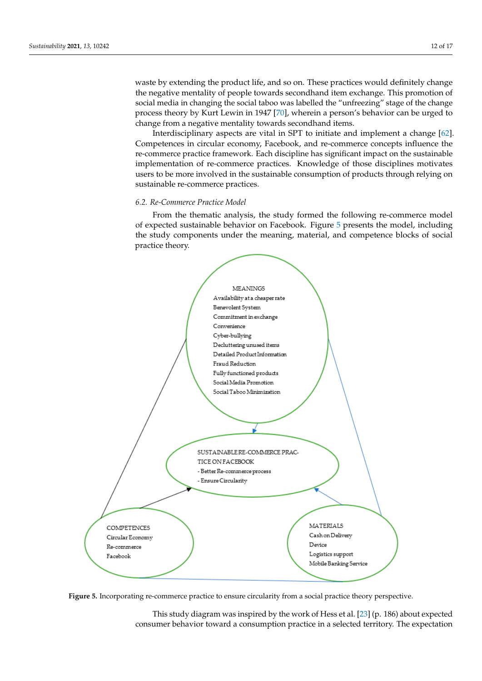waste by extending the product life, and so on. These practices would definitely change the negative mentality of people towards secondhand item exchange. This promotion of social media in changing the social taboo was labelled the "unfreezing" stage of the change process theory by Kurt Lewin in 1947 [\[70\]](#page-16-9), wherein a person's behavior can be urged to change from a negative mentality towards secondhand items.

Interdisciplinary aspects are vital in SPT to initiate and implement a change [\[62\]](#page-16-1). Competences in circular economy, Facebook, and re-commerce concepts influence the re-commerce practice framework. Each discipline has significant impact on the sustainable implementation of re-commerce practices. Knowledge of those disciplines motivates users to be more involved in the sustainable consumption of products through relying on sustainable re-commerce practices.

### *6.2. Re-Commerce Practice Model*

<span id="page-11-0"></span>From the thematic analysis, the study formed the following re-commerce model of expected sustainable behavior on Facebook. Figure 5 presents the model, including the study components under the meaning, material, and competence blocks of social practice theory.



Figure 5. Incorporating re-commerce practice to ensure circularity from a social practice theory perspective.

This study diagram was inspired by the work of Hess et al. [\[23\]](#page-14-22) (p. 186) about expected consumer behavior toward a consumption practice in a selected territory. The expectation pectation of sustainable re-commerce practice is entirely dependent on the interconnect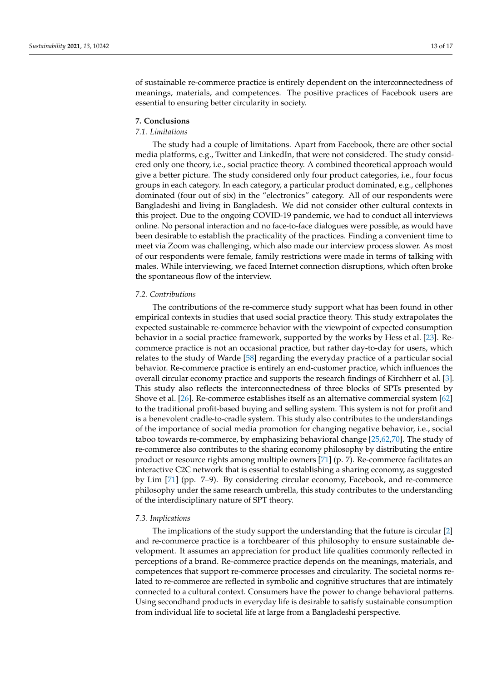of sustainable re-commerce practice is entirely dependent on the interconnectedness of meanings, materials, and competences. The positive practices of Facebook users are essential to ensuring better circularity in society.

### **7. Conclusions**

# *7.1. Limitations*

The study had a couple of limitations. Apart from Facebook, there are other social media platforms, e.g., Twitter and LinkedIn, that were not considered. The study considered only one theory, i.e., social practice theory. A combined theoretical approach would give a better picture. The study considered only four product categories, i.e., four focus groups in each category. In each category, a particular product dominated, e.g., cellphones dominated (four out of six) in the "electronics" category. All of our respondents were Bangladeshi and living in Bangladesh. We did not consider other cultural contexts in this project. Due to the ongoing COVID-19 pandemic, we had to conduct all interviews online. No personal interaction and no face-to-face dialogues were possible, as would have been desirable to establish the practicality of the practices. Finding a convenient time to meet via Zoom was challenging, which also made our interview process slower. As most of our respondents were female, family restrictions were made in terms of talking with males. While interviewing, we faced Internet connection disruptions, which often broke the spontaneous flow of the interview.

### *7.2. Contributions*

The contributions of the re-commerce study support what has been found in other empirical contexts in studies that used social practice theory. This study extrapolates the expected sustainable re-commerce behavior with the viewpoint of expected consumption behavior in a social practice framework, supported by the works by Hess et al. [\[23\]](#page-14-22). Recommerce practice is not an occasional practice, but rather day-to-day for users, which relates to the study of Warde [\[58\]](#page-15-27) regarding the everyday practice of a particular social behavior. Re-commerce practice is entirely an end-customer practice, which influences the overall circular economy practice and supports the research findings of Kirchherr et al. [\[3\]](#page-14-2). This study also reflects the interconnectedness of three blocks of SPTs presented by Shove et al. [\[26\]](#page-14-25). Re-commerce establishes itself as an alternative commercial system [\[62\]](#page-16-1) to the traditional profit-based buying and selling system. This system is not for profit and is a benevolent cradle-to-cradle system. This study also contributes to the understandings of the importance of social media promotion for changing negative behavior, i.e., social taboo towards re-commerce, by emphasizing behavioral change [\[25](#page-14-24)[,62](#page-16-1)[,70\]](#page-16-9). The study of re-commerce also contributes to the sharing economy philosophy by distributing the entire product or resource rights among multiple owners [\[71\]](#page-16-10) (p. 7). Re-commerce facilitates an interactive C2C network that is essential to establishing a sharing economy, as suggested by Lim [\[71\]](#page-16-10) (pp. 7–9). By considering circular economy, Facebook, and re-commerce philosophy under the same research umbrella, this study contributes to the understanding of the interdisciplinary nature of SPT theory.

### *7.3. Implications*

The implications of the study support the understanding that the future is circular [\[2\]](#page-14-1) and re-commerce practice is a torchbearer of this philosophy to ensure sustainable development. It assumes an appreciation for product life qualities commonly reflected in perceptions of a brand. Re-commerce practice depends on the meanings, materials, and competences that support re-commerce processes and circularity. The societal norms related to re-commerce are reflected in symbolic and cognitive structures that are intimately connected to a cultural context. Consumers have the power to change behavioral patterns. Using secondhand products in everyday life is desirable to satisfy sustainable consumption from individual life to societal life at large from a Bangladeshi perspective.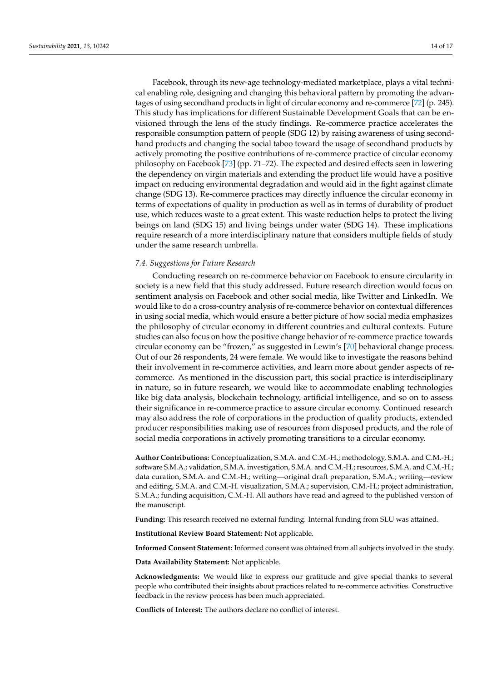Facebook, through its new-age technology-mediated marketplace, plays a vital technical enabling role, designing and changing this behavioral pattern by promoting the advantages of using secondhand products in light of circular economy and re-commerce [\[72\]](#page-16-11) (p. 245). This study has implications for different Sustainable Development Goals that can be envisioned through the lens of the study findings. Re-commerce practice accelerates the responsible consumption pattern of people (SDG 12) by raising awareness of using secondhand products and changing the social taboo toward the usage of secondhand products by actively promoting the positive contributions of re-commerce practice of circular economy philosophy on Facebook [\[73\]](#page-16-12) (pp. 71–72). The expected and desired effects seen in lowering the dependency on virgin materials and extending the product life would have a positive impact on reducing environmental degradation and would aid in the fight against climate change (SDG 13). Re-commerce practices may directly influence the circular economy in terms of expectations of quality in production as well as in terms of durability of product use, which reduces waste to a great extent. This waste reduction helps to protect the living beings on land (SDG 15) and living beings under water (SDG 14). These implications require research of a more interdisciplinary nature that considers multiple fields of study under the same research umbrella.

# *7.4. Suggestions for Future Research*

Conducting research on re-commerce behavior on Facebook to ensure circularity in society is a new field that this study addressed. Future research direction would focus on sentiment analysis on Facebook and other social media, like Twitter and LinkedIn. We would like to do a cross-country analysis of re-commerce behavior on contextual differences in using social media, which would ensure a better picture of how social media emphasizes the philosophy of circular economy in different countries and cultural contexts. Future studies can also focus on how the positive change behavior of re-commerce practice towards circular economy can be "frozen," as suggested in Lewin's [\[70\]](#page-16-9) behavioral change process. Out of our 26 respondents, 24 were female. We would like to investigate the reasons behind their involvement in re-commerce activities, and learn more about gender aspects of recommerce. As mentioned in the discussion part, this social practice is interdisciplinary in nature, so in future research, we would like to accommodate enabling technologies like big data analysis, blockchain technology, artificial intelligence, and so on to assess their significance in re-commerce practice to assure circular economy. Continued research may also address the role of corporations in the production of quality products, extended producer responsibilities making use of resources from disposed products, and the role of social media corporations in actively promoting transitions to a circular economy.

**Author Contributions:** Conceptualization, S.M.A. and C.M.-H.; methodology, S.M.A. and C.M.-H.; software S.M.A.; validation, S.M.A. investigation, S.M.A. and C.M.-H.; resources, S.M.A. and C.M.-H.; data curation, S.M.A. and C.M.-H.; writing—original draft preparation, S.M.A.; writing—review and editing, S.M.A. and C.M.-H. visualization, S.M.A.; supervision, C.M.-H.; project administration, S.M.A.; funding acquisition, C.M.-H. All authors have read and agreed to the published version of the manuscript.

**Funding:** This research received no external funding. Internal funding from SLU was attained.

**Institutional Review Board Statement:** Not applicable.

**Informed Consent Statement:** Informed consent was obtained from all subjects involved in the study.

**Data Availability Statement:** Not applicable.

**Acknowledgments:** We would like to express our gratitude and give special thanks to several people who contributed their insights about practices related to re-commerce activities. Constructive feedback in the review process has been much appreciated.

**Conflicts of Interest:** The authors declare no conflict of interest.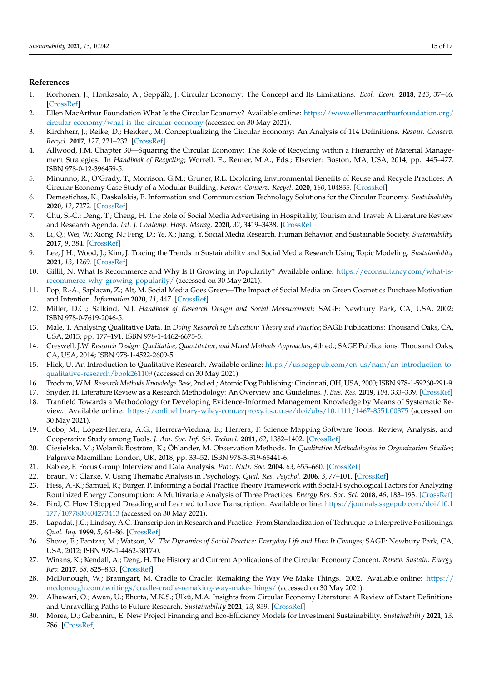# **References**

- <span id="page-14-0"></span>1. Korhonen, J.; Honkasalo, A.; Seppälä, J. Circular Economy: The Concept and Its Limitations. *Ecol. Econ.* **2018**, *143*, 37–46. [\[CrossRef\]](http://doi.org/10.1016/j.ecolecon.2017.06.041)
- <span id="page-14-1"></span>2. Ellen MacArthur Foundation What Is the Circular Economy? Available online: [https://www.ellenmacarthurfoundation.org/](https://www.ellenmacarthurfoundation.org/circular-economy/what-is-the-circular-economy) [circular-economy/what-is-the-circular-economy](https://www.ellenmacarthurfoundation.org/circular-economy/what-is-the-circular-economy) (accessed on 30 May 2021).
- <span id="page-14-2"></span>3. Kirchherr, J.; Reike, D.; Hekkert, M. Conceptualizing the Circular Economy: An Analysis of 114 Definitions. *Resour. Conserv. Recycl.* **2017**, *127*, 221–232. [\[CrossRef\]](http://doi.org/10.1016/j.resconrec.2017.09.005)
- <span id="page-14-3"></span>4. Allwood, J.M. Chapter 30—Squaring the Circular Economy: The Role of Recycling within a Hierarchy of Material Management Strategies. In *Handbook of Recycling*; Worrell, E., Reuter, M.A., Eds.; Elsevier: Boston, MA, USA, 2014; pp. 445–477. ISBN 978-0-12-396459-5.
- <span id="page-14-4"></span>5. Minunno, R.; O'Grady, T.; Morrison, G.M.; Gruner, R.L. Exploring Environmental Benefits of Reuse and Recycle Practices: A Circular Economy Case Study of a Modular Building. *Resour. Conserv. Recycl.* **2020**, *160*, 104855. [\[CrossRef\]](http://doi.org/10.1016/j.resconrec.2020.104855)
- <span id="page-14-5"></span>6. Demestichas, K.; Daskalakis, E. Information and Communication Technology Solutions for the Circular Economy. *Sustainability* **2020**, *12*, 7272. [\[CrossRef\]](http://doi.org/10.3390/su12187272)
- <span id="page-14-6"></span>7. Chu, S.-C.; Deng, T.; Cheng, H. The Role of Social Media Advertising in Hospitality, Tourism and Travel: A Literature Review and Research Agenda. *Int. J. Contemp. Hosp. Manag.* **2020**, *32*, 3419–3438. [\[CrossRef\]](http://doi.org/10.1108/IJCHM-05-2020-0480)
- <span id="page-14-7"></span>8. Li, Q.; Wei, W.; Xiong, N.; Feng, D.; Ye, X.; Jiang, Y. Social Media Research, Human Behavior, and Sustainable Society. *Sustainability* **2017**, *9*, 384. [\[CrossRef\]](http://doi.org/10.3390/su9030384)
- <span id="page-14-8"></span>9. Lee, J.H.; Wood, J.; Kim, J. Tracing the Trends in Sustainability and Social Media Research Using Topic Modeling. *Sustainability* **2021**, *13*, 1269. [\[CrossRef\]](http://doi.org/10.3390/su13031269)
- <span id="page-14-9"></span>10. Gillil, N. What Is Recommerce and Why Is It Growing in Popularity? Available online: [https://econsultancy.com/what-is](https://econsultancy.com/what-is-recommerce-why-growing-popularity/)[recommerce-why-growing-popularity/](https://econsultancy.com/what-is-recommerce-why-growing-popularity/) (accessed on 30 May 2021).
- <span id="page-14-10"></span>11. Pop, R.-A.; Saplacan, Z.; Alt, M. Social Media Goes Green—The Impact of Social Media on Green Cosmetics Purchase Motivation and Intention. *Information* **2020**, *11*, 447. [\[CrossRef\]](http://doi.org/10.3390/info11090447)
- <span id="page-14-11"></span>12. Miller, D.C.; Salkind, N.J. *Handbook of Research Design and Social Measurement*; SAGE: Newbury Park, CA, USA, 2002; ISBN 978-0-7619-2046-5.
- <span id="page-14-12"></span>13. Male, T. Analysing Qualitative Data. In *Doing Research in Education: Theory and Practice*; SAGE Publications: Thousand Oaks, CA, USA, 2015; pp. 177–191. ISBN 978-1-4462-6675-5.
- <span id="page-14-13"></span>14. Creswell, J.W. *Research Design: Qualitative, Quantitative, and Mixed Methods Approaches*, 4th ed.; SAGE Publications: Thousand Oaks, CA, USA, 2014; ISBN 978-1-4522-2609-5.
- <span id="page-14-14"></span>15. Flick, U. An Introduction to Qualitative Research. Available online: [https://us.sagepub.com/en-us/nam/an-introduction-to](https://us.sagepub.com/en-us/nam/an-introduction-to-qualitative-research/book261109)[qualitative-research/book261109](https://us.sagepub.com/en-us/nam/an-introduction-to-qualitative-research/book261109) (accessed on 30 May 2021).
- <span id="page-14-15"></span>16. Trochim, W.M. *Research Methods Knowledge Base*, 2nd ed.; Atomic Dog Publishing: Cincinnati, OH, USA, 2000; ISBN 978-1-59260-291-9.
- <span id="page-14-16"></span>17. Snyder, H. Literature Review as a Research Methodology: An Overview and Guidelines. *J. Bus. Res.* **2019**, *104*, 333–339. [\[CrossRef\]](http://doi.org/10.1016/j.jbusres.2019.07.039)
- <span id="page-14-17"></span>18. Tranfield Towards a Methodology for Developing Evidence-Informed Management Knowledge by Means of Systematic Review. Available online: <https://onlinelibrary-wiley-com.ezproxy.its.uu.se/doi/abs/10.1111/1467-8551.00375> (accessed on 30 May 2021).
- <span id="page-14-18"></span>19. Cobo, M.; López-Herrera, A.G.; Herrera-Viedma, E.; Herrera, F. Science Mapping Software Tools: Review, Analysis, and Cooperative Study among Tools. *J. Am. Soc. Inf. Sci. Technol.* **2011**, *62*, 1382–1402. [\[CrossRef\]](http://doi.org/10.1002/asi.21525)
- <span id="page-14-19"></span>20. Ciesielska, M.; Wolanik Boström, K.; Öhlander, M. Observation Methods. In *Qualitative Methodologies in Organization Studies*; Palgrave Macmillan: London, UK, 2018; pp. 33–52. ISBN 978-3-319-65441-6.
- <span id="page-14-20"></span>21. Rabiee, F. Focus Group Interview and Data Analysis. *Proc. Nutr. Soc.* **2004**, *63*, 655–660. [\[CrossRef\]](http://doi.org/10.1079/PNS2004399)
- <span id="page-14-21"></span>22. Braun, V.; Clarke, V. Using Thematic Analysis in Psychology. *Qual. Res. Psychol.* **2006**, *3*, 77–101. [\[CrossRef\]](http://doi.org/10.1191/1478088706qp063oa)
- <span id="page-14-22"></span>23. Hess, A.-K.; Samuel, R.; Burger, P. Informing a Social Practice Theory Framework with Social-Psychological Factors for Analyzing Routinized Energy Consumption: A Multivariate Analysis of Three Practices. *Energy Res. Soc. Sci.* **2018**, *46*, 183–193. [\[CrossRef\]](http://doi.org/10.1016/j.erss.2018.06.012)
- <span id="page-14-23"></span>24. Bird, C. How I Stopped Dreading and Learned to Love Transcription. Available online: [https://journals.sagepub.com/doi/10.1](https://journals.sagepub.com/doi/10.1177/1077800404273413) [177/1077800404273413](https://journals.sagepub.com/doi/10.1177/1077800404273413) (accessed on 30 May 2021).
- <span id="page-14-24"></span>25. Lapadat, J.C.; Lindsay, A.C. Transcription in Research and Practice: From Standardization of Technique to Interpretive Positionings. *Qual. Inq.* **1999**, *5*, 64–86. [\[CrossRef\]](http://doi.org/10.1177/107780049900500104)
- <span id="page-14-25"></span>26. Shove, E.; Pantzar, M.; Watson, M. *The Dynamics of Social Practice: Everyday Life and How It Changes*; SAGE: Newbury Park, CA, USA, 2012; ISBN 978-1-4462-5817-0.
- <span id="page-14-26"></span>27. Winans, K.; Kendall, A.; Deng, H. The History and Current Applications of the Circular Economy Concept. *Renew. Sustain. Energy Rev.* **2017**, *68*, 825–833. [\[CrossRef\]](http://doi.org/10.1016/j.rser.2016.09.123)
- <span id="page-14-27"></span>28. McDonough, W.; Braungart, M. Cradle to Cradle: Remaking the Way We Make Things. 2002. Available online: [https://](https://mcdonough.com/writings/cradle-cradle-remaking-way-make-things/) [mcdonough.com/writings/cradle-cradle-remaking-way-make-things/](https://mcdonough.com/writings/cradle-cradle-remaking-way-make-things/) (accessed on 30 May 2021).
- <span id="page-14-28"></span>29. Alhawari, O.; Awan, U.; Bhutta, M.K.S.; Ülkü, M.A. Insights from Circular Economy Literature: A Review of Extant Definitions and Unravelling Paths to Future Research. *Sustainability* **2021**, *13*, 859. [\[CrossRef\]](http://doi.org/10.3390/su13020859)
- <span id="page-14-29"></span>30. Morea, D.; Gebennini, E. New Project Financing and Eco-Efficiency Models for Investment Sustainability. *Sustainability* **2021**, *13*, 786. [\[CrossRef\]](http://doi.org/10.3390/su13020786)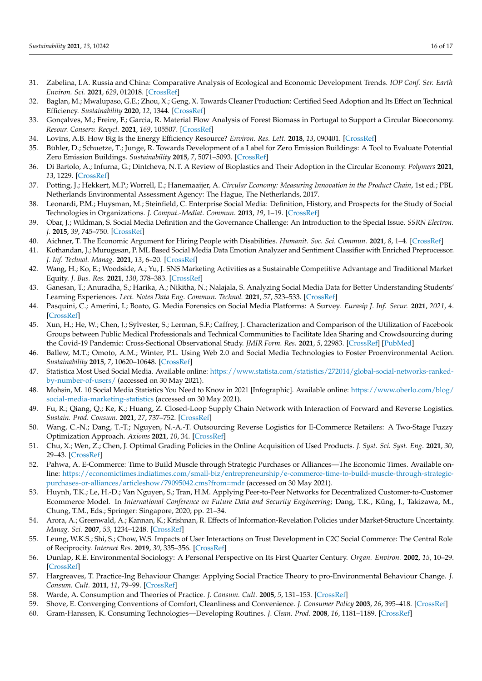- <span id="page-15-0"></span>31. Zabelina, I.A. Russia and China: Comparative Analysis of Ecological and Economic Development Trends. *IOP Conf. Ser. Earth Environ. Sci.* **2021**, *629*, 012018. [\[CrossRef\]](http://doi.org/10.1088/1755-1315/629/1/012018)
- <span id="page-15-1"></span>32. Baglan, M.; Mwalupaso, G.E.; Zhou, X.; Geng, X. Towards Cleaner Production: Certified Seed Adoption and Its Effect on Technical Efficiency. *Sustainability* **2020**, *12*, 1344. [\[CrossRef\]](http://doi.org/10.3390/su12041344)
- <span id="page-15-2"></span>33. Gonçalves, M.; Freire, F.; Garcia, R. Material Flow Analysis of Forest Biomass in Portugal to Support a Circular Bioeconomy. *Resour. Conserv. Recycl.* **2021**, *169*, 105507. [\[CrossRef\]](http://doi.org/10.1016/j.resconrec.2021.105507)
- <span id="page-15-3"></span>34. Lovins, A.B. How Big Is the Energy Efficiency Resource? *Environ. Res. Lett.* **2018**, *13*, 090401. [\[CrossRef\]](http://doi.org/10.1088/1748-9326/aad965)
- <span id="page-15-4"></span>35. Bühler, D.; Schuetze, T.; Junge, R. Towards Development of a Label for Zero Emission Buildings: A Tool to Evaluate Potential Zero Emission Buildings. *Sustainability* **2015**, *7*, 5071–5093. [\[CrossRef\]](http://doi.org/10.3390/su7055071)
- <span id="page-15-5"></span>36. Di Bartolo, A.; Infurna, G.; Dintcheva, N.T. A Review of Bioplastics and Their Adoption in the Circular Economy. *Polymers* **2021**, *13*, 1229. [\[CrossRef\]](http://doi.org/10.3390/polym13081229)
- <span id="page-15-6"></span>37. Potting, J.; Hekkert, M.P.; Worrell, E.; Hanemaaijer, A. *Circular Economy: Measuring Innovation in the Product Chain*, 1st ed.; PBL Netherlands Environmental Assessment Agency: The Hague, The Netherlands, 2017.
- <span id="page-15-7"></span>38. Leonardi, P.M.; Huysman, M.; Steinfield, C. Enterprise Social Media: Definition, History, and Prospects for the Study of Social Technologies in Organizations. *J. Comput.-Mediat. Commun.* **2013**, *19*, 1–19. [\[CrossRef\]](http://doi.org/10.1111/jcc4.12029)
- <span id="page-15-8"></span>39. Obar, J.; Wildman, S. Social Media Definition and the Governance Challenge: An Introduction to the Special Issue. *SSRN Electron. J.* **2015**, *39*, 745–750. [\[CrossRef\]](http://doi.org/10.2139/ssrn.2637879)
- <span id="page-15-9"></span>40. Aichner, T. The Economic Argument for Hiring People with Disabilities. *Humanit. Soc. Sci. Commun.* **2021**, *8*, 1–4. [\[CrossRef\]](http://doi.org/10.1057/s41599-021-00707-y)
- <span id="page-15-10"></span>41. Kothandan, J.; Murugesan, P. ML Based Social Media Data Emotion Analyzer and Sentiment Classifier with Enriched Preprocessor. *J. Inf. Technol. Manag.* **2021**, *13*, 6–20. [\[CrossRef\]](http://doi.org/10.22059/jitm.2021.80614)
- <span id="page-15-11"></span>42. Wang, H.; Ko, E.; Woodside, A.; Yu, J. SNS Marketing Activities as a Sustainable Competitive Advantage and Traditional Market Equity. *J. Bus. Res.* **2021**, *130*, 378–383. [\[CrossRef\]](http://doi.org/10.1016/j.jbusres.2020.06.005)
- <span id="page-15-12"></span>43. Ganesan, T.; Anuradha, S.; Harika, A.; Nikitha, N.; Nalajala, S. Analyzing Social Media Data for Better Understanding Students' Learning Experiences. *Lect. Notes Data Eng. Commun. Technol.* **2021**, *57*, 523–533. [\[CrossRef\]](http://doi.org/10.1007/978-981-15-9509-7_43)
- <span id="page-15-13"></span>44. Pasquini, C.; Amerini, I.; Boato, G. Media Forensics on Social Media Platforms: A Survey. *Eurasip J. Inf. Secur.* **2021**, *2021*, 4. [\[CrossRef\]](http://doi.org/10.1186/s13635-021-00117-2)
- <span id="page-15-14"></span>45. Xun, H.; He, W.; Chen, J.; Sylvester, S.; Lerman, S.F.; Caffrey, J. Characterization and Comparison of the Utilization of Facebook Groups between Public Medical Professionals and Technical Communities to Facilitate Idea Sharing and Crowdsourcing during the Covid-19 Pandemic: Cross-Sectional Observational Study. *JMIR Form. Res.* **2021**, *5*, 22983. [\[CrossRef\]](http://doi.org/10.2196/22983) [\[PubMed\]](http://www.ncbi.nlm.nih.gov/pubmed/33878013)
- <span id="page-15-15"></span>46. Ballew, M.T.; Omoto, A.M.; Winter, P.L. Using Web 2.0 and Social Media Technologies to Foster Proenvironmental Action. *Sustainability* **2015**, *7*, 10620–10648. [\[CrossRef\]](http://doi.org/10.3390/su70810620)
- <span id="page-15-16"></span>47. Statistica Most Used Social Media. Available online: [https://www.statista.com/statistics/272014/global-social-networks-ranked](https://www.statista.com/statistics/272014/global-social-networks-ranked-by-number-of-users/)[by-number-of-users/](https://www.statista.com/statistics/272014/global-social-networks-ranked-by-number-of-users/) (accessed on 30 May 2021).
- <span id="page-15-17"></span>48. Mohsin, M. 10 Social Media Statistics You Need to Know in 2021 [Infographic]. Available online: [https://www.oberlo.com/blog/](https://www.oberlo.com/blog/social-media-marketing-statistics) [social-media-marketing-statistics](https://www.oberlo.com/blog/social-media-marketing-statistics) (accessed on 30 May 2021).
- <span id="page-15-18"></span>49. Fu, R.; Qiang, Q.; Ke, K.; Huang, Z. Closed-Loop Supply Chain Network with Interaction of Forward and Reverse Logistics. *Sustain. Prod. Consum.* **2021**, *27*, 737–752. [\[CrossRef\]](http://doi.org/10.1016/j.spc.2021.01.037)
- <span id="page-15-19"></span>50. Wang, C.-N.; Dang, T.-T.; Nguyen, N.-A.-T. Outsourcing Reverse Logistics for E-Commerce Retailers: A Two-Stage Fuzzy Optimization Approach. *Axioms* **2021**, *10*, 34. [\[CrossRef\]](http://doi.org/10.3390/axioms10010034)
- <span id="page-15-20"></span>51. Chu, X.; Wen, Z.; Chen, J. Optimal Grading Policies in the Online Acquisition of Used Products. *J. Syst. Sci. Syst. Eng.* **2021**, *30*, 29–43. [\[CrossRef\]](http://doi.org/10.1007/s11518-021-5479-3)
- <span id="page-15-21"></span>52. Pahwa, A. E-Commerce: Time to Build Muscle through Strategic Purchases or Alliances—The Economic Times. Available online: [https://economictimes.indiatimes.com/small-biz/entrepreneurship/e-commerce-time-to-build-muscle-through-strategic](https://economictimes.indiatimes.com/small-biz/entrepreneurship/e-commerce-time-to-build-muscle-through-strategic-purchases-or-alliances/articleshow/79095042.cms?from=mdr)[purchases-or-alliances/articleshow/79095042.cms?from=mdr](https://economictimes.indiatimes.com/small-biz/entrepreneurship/e-commerce-time-to-build-muscle-through-strategic-purchases-or-alliances/articleshow/79095042.cms?from=mdr) (accessed on 30 May 2021).
- <span id="page-15-22"></span>53. Huynh, T.K.; Le, H.-D.; Van Nguyen, S.; Tran, H.M. Applying Peer-to-Peer Networks for Decentralized Customer-to-Customer Ecommerce Model. In *International Conference on Future Data and Security Engineering*; Dang, T.K., Küng, J., Takizawa, M., Chung, T.M., Eds.; Springer: Singapore, 2020; pp. 21–34.
- <span id="page-15-23"></span>54. Arora, A.; Greenwald, A.; Kannan, K.; Krishnan, R. Effects of Information-Revelation Policies under Market-Structure Uncertainty. *Manag. Sci.* **2007**, *53*, 1234–1248. [\[CrossRef\]](http://doi.org/10.1287/mnsc.1060.0688)
- <span id="page-15-24"></span>55. Leung, W.K.S.; Shi, S.; Chow, W.S. Impacts of User Interactions on Trust Development in C2C Social Commerce: The Central Role of Reciprocity. *Internet Res.* **2019**, *30*, 335–356. [\[CrossRef\]](http://doi.org/10.1108/INTR-09-2018-0413)
- <span id="page-15-25"></span>56. Dunlap, R.E. Environmental Sociology: A Personal Perspective on Its First Quarter Century. *Organ. Environ.* **2002**, *15*, 10–29. [\[CrossRef\]](http://doi.org/10.1177/1086026602151002)
- <span id="page-15-26"></span>57. Hargreaves, T. Practice-Ing Behaviour Change: Applying Social Practice Theory to pro-Environmental Behaviour Change. *J. Consum. Cult.* **2011**, *11*, 79–99. [\[CrossRef\]](http://doi.org/10.1177/1469540510390500)
- <span id="page-15-27"></span>58. Warde, A. Consumption and Theories of Practice. *J. Consum. Cult.* **2005**, *5*, 131–153. [\[CrossRef\]](http://doi.org/10.1177/1469540505053090)
- <span id="page-15-28"></span>59. Shove, E. Converging Conventions of Comfort, Cleanliness and Convenience. *J. Consumer Policy* **2003**, *26*, 395–418. [\[CrossRef\]](http://doi.org/10.1023/A:1026362829781)
- <span id="page-15-29"></span>60. Gram-Hanssen, K. Consuming Technologies—Developing Routines. *J. Clean. Prod.* **2008**, *16*, 1181–1189. [\[CrossRef\]](http://doi.org/10.1016/j.jclepro.2007.08.006)